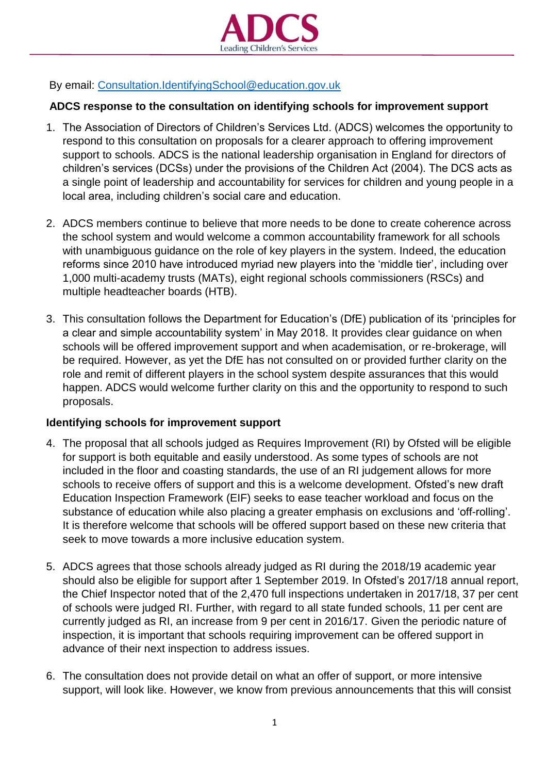

By email: [Consultation.IdentifyingSchool@education.gov.uk](mailto:Consultation.IdentifyingSchool@education.gov.uk)

## **ADCS response to the consultation on identifying schools for improvement support**

- 1. The Association of Directors of Children's Services Ltd. (ADCS) welcomes the opportunity to respond to this consultation on proposals for a clearer approach to offering improvement support to schools. ADCS is the national leadership organisation in England for directors of children's services (DCSs) under the provisions of the Children Act (2004). The DCS acts as a single point of leadership and accountability for services for children and young people in a local area, including children's social care and education.
- 2. ADCS members continue to believe that more needs to be done to create coherence across the school system and would welcome a common accountability framework for all schools with unambiguous guidance on the role of key players in the system. Indeed, the education reforms since 2010 have introduced myriad new players into the 'middle tier', including over 1,000 multi-academy trusts (MATs), eight regional schools commissioners (RSCs) and multiple headteacher boards (HTB).
- 3. This consultation follows the Department for Education's (DfE) publication of its 'principles for a clear and simple accountability system' in May 2018. It provides clear guidance on when schools will be offered improvement support and when academisation, or re-brokerage, will be required. However, as yet the DfE has not consulted on or provided further clarity on the role and remit of different players in the school system despite assurances that this would happen. ADCS would welcome further clarity on this and the opportunity to respond to such proposals.

## **Identifying schools for improvement support**

- 4. The proposal that all schools judged as Requires Improvement (RI) by Ofsted will be eligible for support is both equitable and easily understood. As some types of schools are not included in the floor and coasting standards, the use of an RI judgement allows for more schools to receive offers of support and this is a welcome development. Ofsted's new draft Education Inspection Framework (EIF) seeks to ease teacher workload and focus on the substance of education while also placing a greater emphasis on exclusions and 'off-rolling'. It is therefore welcome that schools will be offered support based on these new criteria that seek to move towards a more inclusive education system.
- 5. ADCS agrees that those schools already judged as RI during the 2018/19 academic year should also be eligible for support after 1 September 2019. In Ofsted's 2017/18 annual report, the Chief Inspector noted that of the 2,470 full inspections undertaken in 2017/18, 37 per cent of schools were judged RI. Further, with regard to all state funded schools, 11 per cent are currently judged as RI, an increase from 9 per cent in 2016/17. Given the periodic nature of inspection, it is important that schools requiring improvement can be offered support in advance of their next inspection to address issues.
- 6. The consultation does not provide detail on what an offer of support, or more intensive support, will look like. However, we know from previous announcements that this will consist